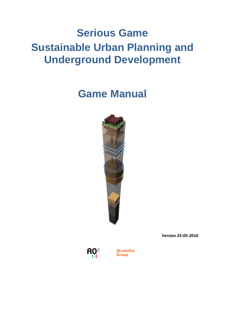# **Serious Game Sustainable Urban Planning and Underground Development**

## **Game Manual**



*Version 25-05-2016* 



**StrateGis** Groep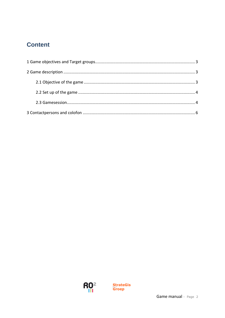### **Content**

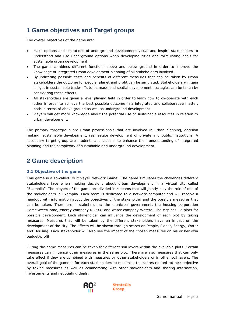### <span id="page-2-0"></span>**1 Game objectives and Target groups**

The overall objectives of the game are:

- Make options and limitations of underground development visual and inspire stakeholders to understand and use underground options when developing cities and formulating goals for sustainable urban development.
- The game combines different functions above and below ground in order to improve the knowledge of integrated urban development planning of all stakeholders involved.
- By indicating possible costs and benefits of different measures that can be taken by urban stakeholders the outcome for people, planet and profit can be simulated. Stakeholders will gain insight in sustainable trade-offs to be made and spatial development strategies can be taken by considering these effects.
- All stakeholders are given a level playing field in order to learn how to co-operate with each other in order to achieve the best possible outcome in a integrated and collaborative matter, both in terms of above ground as well as underground development
- Players will get more knowlegde about the potential use of sustainable resources in relation to urban development.

The primary targetgroup are urban professionals that are involved in urban planning, decision making, sustainable development, real estate development of private and public institutions. A secondary target group are students and citizens to enhance their understanding of integrated planning and the complexity of sustainable and underground development.

### <span id="page-2-1"></span>**2 Game description**

#### <span id="page-2-2"></span>**2.1 Objective of the game**

This game is a so-called 'Multiplayer Network Game'. The game simulates the challenges different stakeholders face when making decisions about urban development in a virtual city called "Examplia". The players of the game are divided in 4 teams that will jointly play the role of one of the stakeholders in Examplia. Each team is dedicated to a network computer and will receive a handout with information about the objectives of the stakeholder and the possible measures that can be taken. There are 4 stakeholders: the municipal government, the housing corporation HomeSweetHome, energy company NOXXO and water company Watera. The city has 12 plots for possible development. Each stakeholder can influence the development of each plot by taking measures. Measures that will be taken by the different stakeholders have an impact on the development of the city. The effects will be shown through scores on People, Planet, Energy, Water and Housing. Each stakeholder will also see the impact of the chosen measures on his or her own budget/profit.

During the game measures can be taken for different soil layers within the available plots. Certain measures can influence other measures in the same plot. There are also measures that can only take effect if they are combined with measures by other stakeholders or in other soil layers. The overall goal of the game is for each stakeholders to maximise the scores related tot heir objective by taking measures as well as collaborating with other stakeholders and sharing information, investements and negotiating deals.



**StrateGis Groep**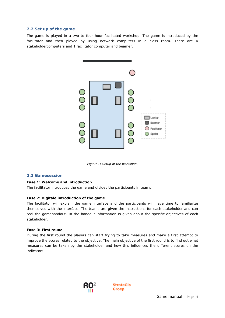#### <span id="page-3-0"></span>**2.2 Set up of the game**

The game is played in a two to four hour facilitated workshop. The game is introduced by the facilitator and then played by using network computers in a class room. There are 4 stakeholdercomputers and 1 facilitator computer and beamer.



*Figuur 1: Setup of the workshop.* 

#### <span id="page-3-1"></span>**2.3 Gamesession**

#### **Fase 1: Welcome and introduction**

The facilitator introduces the game and divides the participants in teams.

#### **Fase 2: Digitale introduction of the game**

The facilitator will explain the game interface and the participants will have time to familiarize themselves with the interface. The teams are given the instructions for each stakeholder and can real the gamehandout. In the handout information is given about the specific objectives of each stakeholder.

#### **Fase 3: First round**

During the first round the players can start trying to take measures and make a first attempt to improve the scores related to the objective. The main objective of the first round is to find out what measures can be taken by the stakeholder and how this influences the different scores on the indicators.



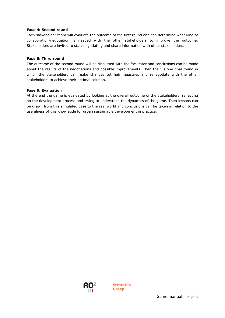#### **Fase 4: Second round**

Each stakeholder team will evaluate the outcome of the first round and can determine what kind of collaboration/negotiation is needed with the other stakeholders to improve the outcome. Stakeholders are invited to start negotiating and share information with other stakeholders.

#### **Fase 5: Third round**

The outcome of the second round will be discussed with the facilitator and conclusions can be made about the results of the negotiations and possible improvements. Then their is one final round in which the stakeholders can make changes tot heir measures and renegotiate with the other stakeholders to achieve their optimal solution.

#### **Fase 6: Evaluation**

At the end the game is evaluated by looking at the overall outcome of the stakeholders, reflecting on the development process and trying to understand the dynamics of the game. Then lessons can be drawn from this simulated case to the real world and conclusions can be taken in relation to the usefulness of this knowlegde for urban sustainable development in practice.